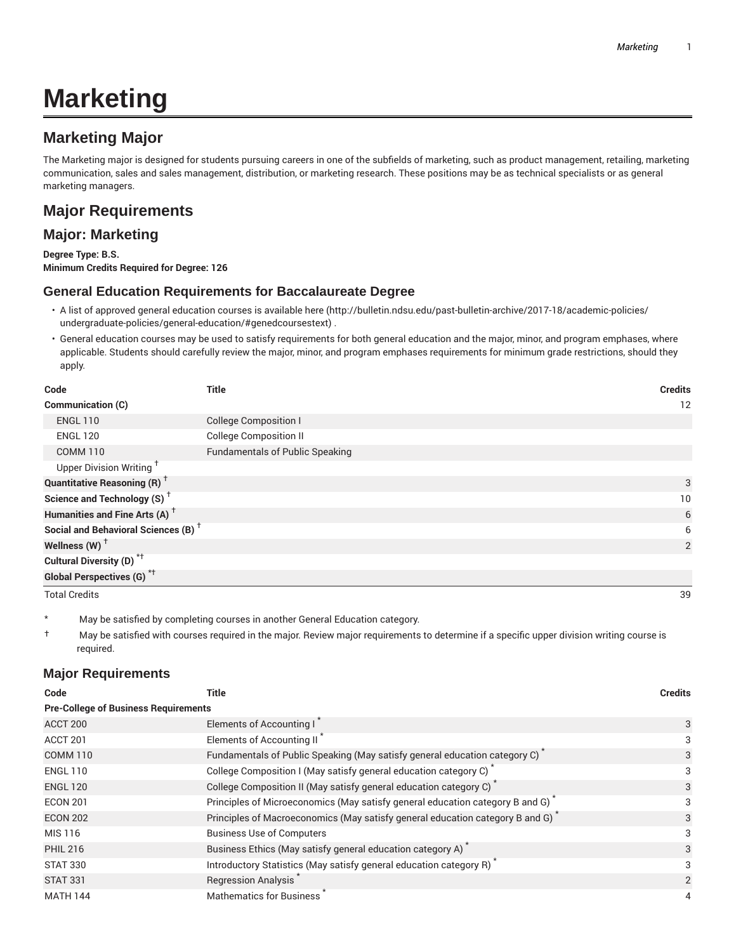# **Marketing**

## **Marketing Major**

The Marketing major is designed for students pursuing careers in one of the subfields of marketing, such as product management, retailing, marketing communication, sales and sales management, distribution, or marketing research. These positions may be as technical specialists or as general marketing managers.

## **Major Requirements**

### **Major: Marketing**

**Degree Type: B.S. Minimum Credits Required for Degree: 126**

#### **General Education Requirements for Baccalaureate Degree**

- A list of approved general education courses is available here (http://bulletin.ndsu.edu/past-bulletin-archive/2017-18/academic-policies/ undergraduate-policies/general-education/#genedcoursestext) .
- General education courses may be used to satisfy requirements for both general education and the major, minor, and program emphases, where applicable. Students should carefully review the major, minor, and program emphases requirements for minimum grade restrictions, should they apply.

| Code                                            | <b>Title</b>                           | <b>Credits</b> |
|-------------------------------------------------|----------------------------------------|----------------|
| Communication (C)                               |                                        | 12             |
| <b>ENGL 110</b>                                 | <b>College Composition I</b>           |                |
| <b>ENGL 120</b>                                 | <b>College Composition II</b>          |                |
| <b>COMM 110</b>                                 | <b>Fundamentals of Public Speaking</b> |                |
| Upper Division Writing <sup>†</sup>             |                                        |                |
| <b>Quantitative Reasoning (R)</b> <sup>†</sup>  |                                        | 3              |
| Science and Technology (S) <sup>+</sup>         |                                        | 10             |
| Humanities and Fine Arts (A) <sup>+</sup>       |                                        | 6              |
| Social and Behavioral Sciences (B) <sup>+</sup> |                                        | 6              |
| Wellness (W) $^{\dagger}$                       |                                        | 2              |
| Cultural Diversity (D) <sup>*†</sup>            |                                        |                |
| Global Perspectives (G) <sup>*†</sup>           |                                        |                |
| <b>Total Credits</b>                            |                                        | 39             |

\* May be satisfied by completing courses in another General Education category.

† May be satisfied with courses required in the major. Review major requirements to determine if a specific upper division writing course is required.

#### **Major Requirements**

| <b>Title</b>                                                                               | <b>Credits</b> |  |  |
|--------------------------------------------------------------------------------------------|----------------|--|--|
| <b>Pre-College of Business Requirements</b>                                                |                |  |  |
| Elements of Accounting I                                                                   | 3              |  |  |
| Elements of Accounting II <sup>*</sup>                                                     | 3              |  |  |
| Fundamentals of Public Speaking (May satisfy general education category C)                 | 3              |  |  |
| College Composition I (May satisfy general education category C)                           | 3              |  |  |
| College Composition II (May satisfy general education category C) <sup>*</sup>             | 3              |  |  |
| Principles of Microeconomics (May satisfy general education category B and G)              | 3              |  |  |
| Principles of Macroeconomics (May satisfy general education category B and G) <sup>*</sup> | 3              |  |  |
| <b>Business Use of Computers</b>                                                           | 3              |  |  |
| Business Ethics (May satisfy general education category A)                                 | 3              |  |  |
| Introductory Statistics (May satisfy general education category R) <sup>*</sup>            |                |  |  |
| Regression Analysis                                                                        | 2              |  |  |
| <b>Mathematics for Business</b>                                                            | 4              |  |  |
|                                                                                            |                |  |  |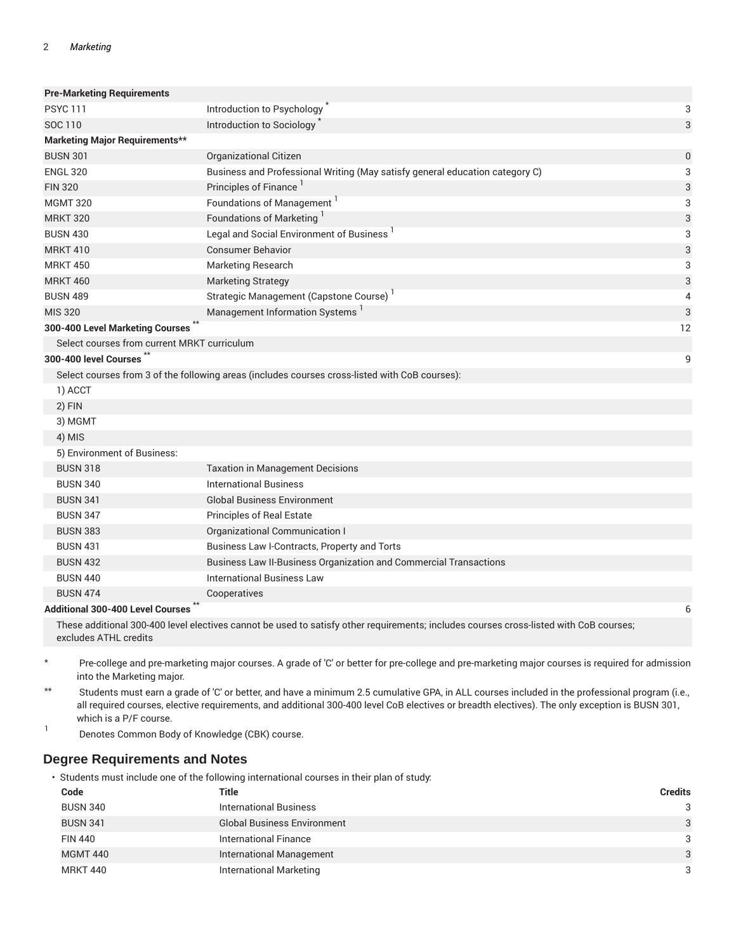| <b>Pre-Marketing Requirements</b>           |                                                                                                |                  |
|---------------------------------------------|------------------------------------------------------------------------------------------------|------------------|
| <b>PSYC111</b>                              | Introduction to Psychology                                                                     | 3                |
| SOC 110                                     | Introduction to Sociology                                                                      | 3                |
| <b>Marketing Major Requirements**</b>       |                                                                                                |                  |
| <b>BUSN 301</b>                             | Organizational Citizen                                                                         | $\boldsymbol{0}$ |
| <b>ENGL 320</b>                             | Business and Professional Writing (May satisfy general education category C)                   | 3                |
| <b>FIN 320</b>                              | Principles of Finance <sup>1</sup>                                                             | 3                |
| <b>MGMT 320</b>                             | Foundations of Management <sup>1</sup>                                                         | 3                |
| <b>MRKT 320</b>                             | Foundations of Marketing                                                                       | 3                |
| <b>BUSN 430</b>                             | Legal and Social Environment of Business <sup>1</sup>                                          | 3                |
| <b>MRKT 410</b>                             | <b>Consumer Behavior</b>                                                                       | 3                |
| <b>MRKT 450</b>                             | <b>Marketing Research</b>                                                                      | 3                |
| <b>MRKT 460</b>                             | <b>Marketing Strategy</b>                                                                      | 3                |
| <b>BUSN 489</b>                             | Strategic Management (Capstone Course)                                                         | 4                |
| <b>MIS 320</b>                              | Management Information Systems                                                                 | 3                |
| 300-400 Level Marketing Courses             |                                                                                                | 12               |
| Select courses from current MRKT curriculum |                                                                                                |                  |
| 300-400 level Courses                       |                                                                                                | 9                |
|                                             | Select courses from 3 of the following areas (includes courses cross-listed with CoB courses): |                  |
| 1) ACCT                                     |                                                                                                |                  |
| 2) FIN                                      |                                                                                                |                  |
| 3) MGMT                                     |                                                                                                |                  |
| 4) MIS                                      |                                                                                                |                  |
| 5) Environment of Business:                 |                                                                                                |                  |
| <b>BUSN 318</b>                             | <b>Taxation in Management Decisions</b>                                                        |                  |
| <b>BUSN 340</b>                             | <b>International Business</b>                                                                  |                  |
| <b>BUSN 341</b>                             | <b>Global Business Environment</b>                                                             |                  |
| <b>BUSN 347</b>                             | Principles of Real Estate                                                                      |                  |
| <b>BUSN 383</b>                             | Organizational Communication I                                                                 |                  |
| <b>BUSN 431</b>                             | Business Law I-Contracts, Property and Torts                                                   |                  |
| <b>BUSN 432</b>                             | Business Law II-Business Organization and Commercial Transactions                              |                  |
| <b>BUSN 440</b>                             | <b>International Business Law</b>                                                              |                  |
| <b>BUSN 474</b>                             | Cooperatives                                                                                   |                  |
| <b>Additional 300-400 Level Courses</b>     |                                                                                                | 6                |

#### **Additional 300-400 Level Courses**

These additional 300-400 level electives cannot be used to satisfy other requirements; includes courses cross-listed with CoB courses; excludes ATHL credits

\* Pre-college and pre-marketing major courses. A grade of 'C' or better for pre-college and pre-marketing major courses is required for admission into the Marketing major.

\*\* Students must earn a grade of 'C' or better, and have a minimum 2.5 cumulative GPA, in ALL courses included in the professional program (i.e., all required courses, elective requirements, and additional 300-400 level CoB electives or breadth electives). The only exception is BUSN 301, which is a P/F course.

1 Denotes Common Body of Knowledge (CBK) course.

#### **Degree Requirements and Notes**

• Students must include one of the following international courses in their plan of study:

| Code            | Title                              | <b>Credits</b> |
|-----------------|------------------------------------|----------------|
| <b>BUSN 340</b> | <b>International Business</b>      | 3              |
| <b>BUSN 341</b> | <b>Global Business Environment</b> | 3              |
| <b>FIN 440</b>  | International Finance              | 3              |
| <b>MGMT 440</b> | <b>International Management</b>    | 3              |
| <b>MRKT 440</b> | International Marketing            | 3              |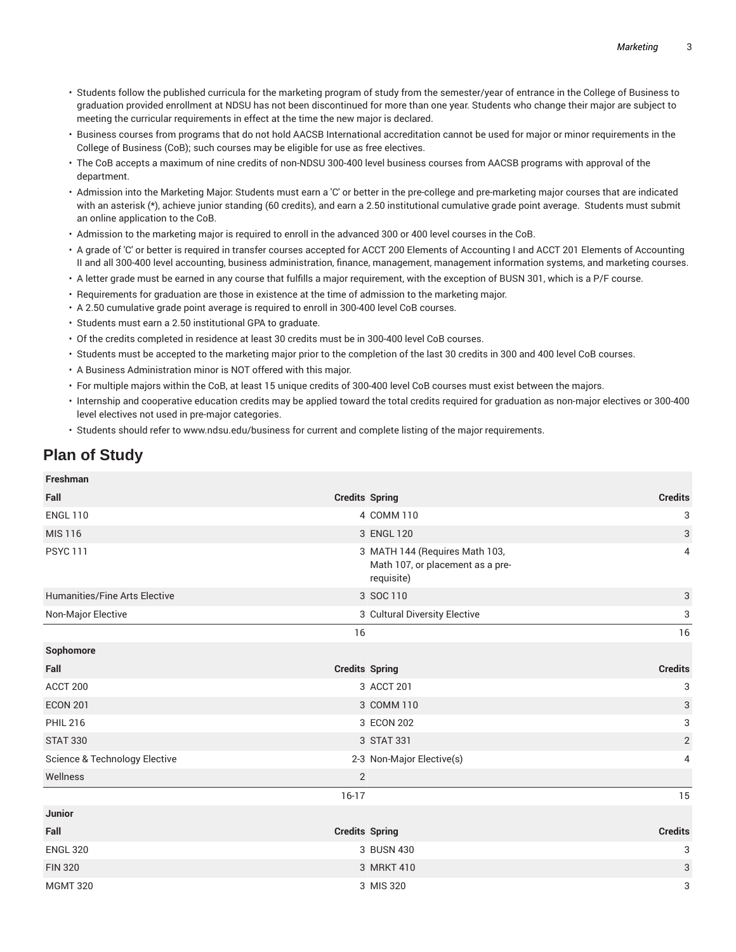- Students follow the published curricula for the marketing program of study from the semester/year of entrance in the College of Business to graduation provided enrollment at NDSU has not been discontinued for more than one year. Students who change their major are subject to meeting the curricular requirements in effect at the time the new major is declared.
- Business courses from programs that do not hold AACSB International accreditation cannot be used for major or minor requirements in the College of Business (CoB); such courses may be eligible for use as free electives.
- The CoB accepts a maximum of nine credits of non-NDSU 300-400 level business courses from AACSB programs with approval of the department.
- Admission into the Marketing Major: Students must earn a 'C' or better in the pre-college and pre-marketing major courses that are indicated with an asterisk (\*), achieve junior standing (60 credits), and earn a 2.50 institutional cumulative grade point average. Students must submit an online application to the CoB.
- Admission to the marketing major is required to enroll in the advanced 300 or 400 level courses in the CoB.
- A grade of 'C' or better is required in transfer courses accepted for ACCT 200 Elements of Accounting I and ACCT 201 Elements of Accounting II and all 300-400 level accounting, business administration, finance, management, management information systems, and marketing courses.
- A letter grade must be earned in any course that fulfills a major requirement, with the exception of BUSN 301, which is a P/F course.
- Requirements for graduation are those in existence at the time of admission to the marketing major.
- A 2.50 cumulative grade point average is required to enroll in 300-400 level CoB courses.
- Students must earn a 2.50 institutional GPA to graduate.
- Of the credits completed in residence at least 30 credits must be in 300-400 level CoB courses.
- Students must be accepted to the marketing major prior to the completion of the last 30 credits in 300 and 400 level CoB courses.
- A Business Administration minor is NOT offered with this major.
- For multiple majors within the CoB, at least 15 unique credits of 300-400 level CoB courses must exist between the majors.
- Internship and cooperative education credits may be applied toward the total credits required for graduation as non-major electives or 300-400 level electives not used in pre-major categories.
- Students should refer to www.ndsu.edu/business for current and complete listing of the major requirements.

## **Plan of Study**

| <b>Freshman</b>                          |                       |                                                                                  |                           |
|------------------------------------------|-----------------------|----------------------------------------------------------------------------------|---------------------------|
| Fall                                     | <b>Credits Spring</b> |                                                                                  | <b>Credits</b>            |
| <b>ENGL 110</b>                          |                       | 4 COMM 110                                                                       | 3                         |
| <b>MIS 116</b>                           |                       | 3 ENGL 120                                                                       | 3                         |
| <b>PSYC 111</b>                          |                       | 3 MATH 144 (Requires Math 103,<br>Math 107, or placement as a pre-<br>requisite) | 4                         |
| Humanities/Fine Arts Elective            |                       | 3 SOC 110                                                                        | 3                         |
| Non-Major Elective                       |                       | 3 Cultural Diversity Elective                                                    | 3                         |
|                                          | 16                    |                                                                                  | 16                        |
| Sophomore                                |                       |                                                                                  |                           |
| Fall                                     | <b>Credits Spring</b> |                                                                                  | <b>Credits</b>            |
| ACCT 200                                 |                       | 3 ACCT 201                                                                       | 3                         |
| <b>ECON 201</b>                          |                       | 3 COMM 110                                                                       | 3                         |
| <b>PHIL 216</b>                          |                       | 3 ECON 202                                                                       | $\ensuremath{\mathsf{3}}$ |
| <b>STAT 330</b>                          |                       | 3 STAT 331                                                                       | $\overline{2}$            |
| <b>Science &amp; Technology Elective</b> |                       | 2-3 Non-Major Elective(s)                                                        | 4                         |
| Wellness                                 | 2                     |                                                                                  |                           |
|                                          | $16-17$               |                                                                                  | 15                        |
| <b>Junior</b>                            |                       |                                                                                  |                           |
| Fall                                     | <b>Credits Spring</b> |                                                                                  | <b>Credits</b>            |
| <b>ENGL 320</b>                          |                       | 3 BUSN 430                                                                       | 3                         |
| <b>FIN 320</b>                           |                       | 3 MRKT 410                                                                       | 3                         |
| <b>MGMT 320</b>                          |                       | 3 MIS 320                                                                        | 3                         |